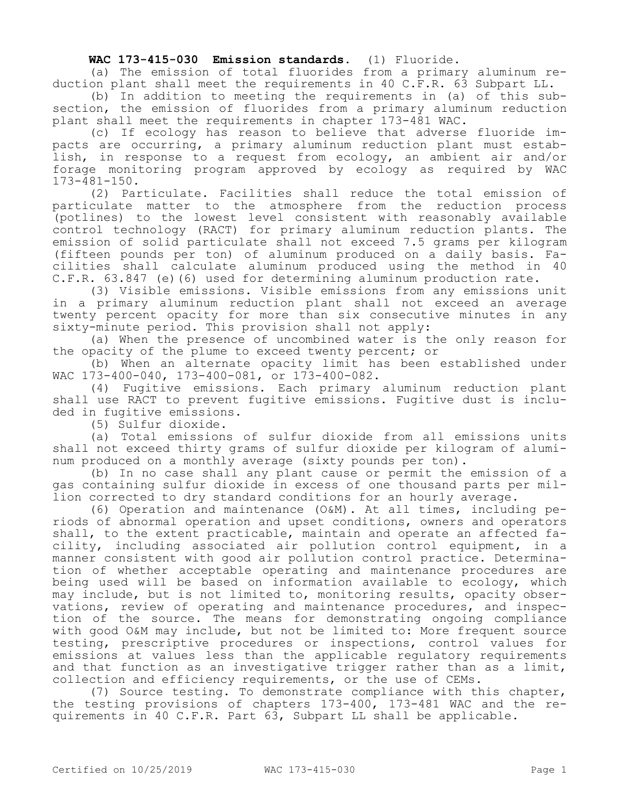## **WAC 173-415-030 Emission standards.** (1) Fluoride.

(a) The emission of total fluorides from a primary aluminum reduction plant shall meet the requirements in 40 C.F.R. 63 Subpart LL.

(b) In addition to meeting the requirements in (a) of this subsection, the emission of fluorides from a primary aluminum reduction plant shall meet the requirements in chapter 173-481 WAC.

(c) If ecology has reason to believe that adverse fluoride impacts are occurring, a primary aluminum reduction plant must establish, in response to a request from ecology, an ambient air and/or forage monitoring program approved by ecology as required by WAC 173-481-150.

(2) Particulate. Facilities shall reduce the total emission of particulate matter to the atmosphere from the reduction process (potlines) to the lowest level consistent with reasonably available control technology (RACT) for primary aluminum reduction plants. The emission of solid particulate shall not exceed 7.5 grams per kilogram (fifteen pounds per ton) of aluminum produced on a daily basis. Facilities shall calculate aluminum produced using the method in 40 C.F.R. 63.847 (e)(6) used for determining aluminum production rate.

(3) Visible emissions. Visible emissions from any emissions unit in a primary aluminum reduction plant shall not exceed an average twenty percent opacity for more than six consecutive minutes in any sixty-minute period. This provision shall not apply:

(a) When the presence of uncombined water is the only reason for the opacity of the plume to exceed twenty percent; or

(b) When an alternate opacity limit has been established under WAC 173-400-040, 173-400-081, or 173-400-082.

(4) Fugitive emissions. Each primary aluminum reduction plant shall use RACT to prevent fugitive emissions. Fugitive dust is included in fugitive emissions.

(5) Sulfur dioxide.

(a) Total emissions of sulfur dioxide from all emissions units shall not exceed thirty grams of sulfur dioxide per kilogram of aluminum produced on a monthly average (sixty pounds per ton).

(b) In no case shall any plant cause or permit the emission of a gas containing sulfur dioxide in excess of one thousand parts per million corrected to dry standard conditions for an hourly average.

(6) Operation and maintenance (O&M). At all times, including periods of abnormal operation and upset conditions, owners and operators shall, to the extent practicable, maintain and operate an affected facility, including associated air pollution control equipment, in a manner consistent with good air pollution control practice. Determination of whether acceptable operating and maintenance procedures are being used will be based on information available to ecology, which may include, but is not limited to, monitoring results, opacity observations, review of operating and maintenance procedures, and inspection of the source. The means for demonstrating ongoing compliance with good O&M may include, but not be limited to: More frequent source testing, prescriptive procedures or inspections, control values for emissions at values less than the applicable regulatory requirements and that function as an investigative trigger rather than as a limit, collection and efficiency requirements, or the use of CEMs.

(7) Source testing. To demonstrate compliance with this chapter, the testing provisions of chapters 173-400, 173-481 WAC and the requirements in 40 C.F.R. Part 63, Subpart LL shall be applicable.